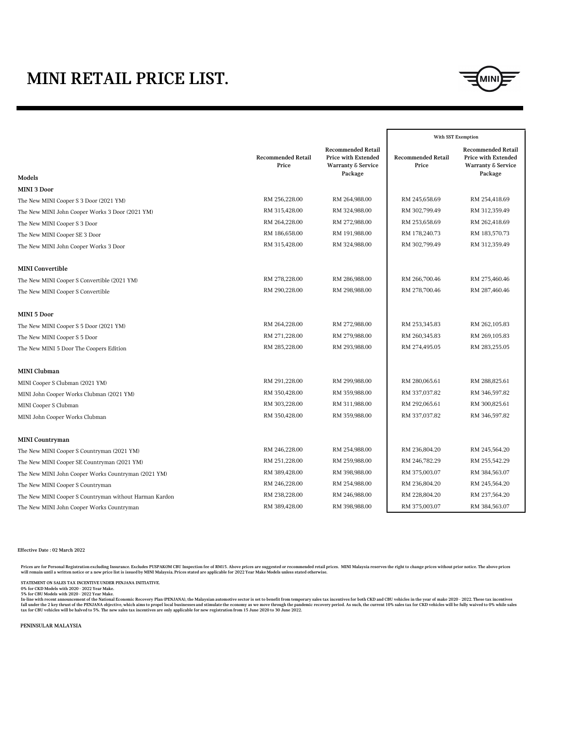|                                                        |                                    |                                                                                                     | With SST Exemption                 |                                                                                                     |
|--------------------------------------------------------|------------------------------------|-----------------------------------------------------------------------------------------------------|------------------------------------|-----------------------------------------------------------------------------------------------------|
|                                                        | <b>Recommended Retail</b><br>Price | <b>Recommended Retail</b><br><b>Price with Extended</b><br><b>Warranty &amp; Service</b><br>Package | <b>Recommended Retail</b><br>Price | <b>Recommended Retail</b><br><b>Price with Extended</b><br><b>Warranty &amp; Service</b><br>Package |
| Models                                                 |                                    |                                                                                                     |                                    |                                                                                                     |
| <b>MINI 3 Door</b>                                     |                                    |                                                                                                     |                                    |                                                                                                     |
| The New MINI Cooper S 3 Door (2021 YM)                 | RM 256,228.00                      | RM 264,988.00                                                                                       | RM 245,658.69                      | RM 254,418.69                                                                                       |
| The New MINI John Cooper Works 3 Door (2021 YM)        | RM 315,428.00                      | RM 324,988.00                                                                                       | RM 302,799.49                      | RM 312,359.49                                                                                       |
| The New MINI Cooper S 3 Door                           | RM 264,228.00                      | RM 272,988.00                                                                                       | RM 253,658.69                      | RM 262,418.69                                                                                       |
| The New MINI Cooper SE 3 Door                          | RM 186,658.00                      | RM 191,988.00                                                                                       | RM 178,240.73                      | RM 183,570.73                                                                                       |
| The New MINI John Cooper Works 3 Door                  | RM 315,428.00                      | RM 324,988.00                                                                                       | RM 302,799.49                      | RM 312,359.49                                                                                       |
| <b>MINI Convertible</b>                                |                                    |                                                                                                     |                                    |                                                                                                     |
| The New MINI Cooper S Convertible (2021 YM)            | RM 278,228.00                      | RM 286,988.00                                                                                       | RM 266,700.46                      | RM 275,460.46                                                                                       |
| The New MINI Cooper S Convertible                      | RM 290,228.00                      | RM 298,988.00                                                                                       | RM 278,700.46                      | RM 287,460.46                                                                                       |
| <b>MINI 5 Door</b>                                     |                                    |                                                                                                     |                                    |                                                                                                     |
| The New MINI Cooper S 5 Door (2021 YM)                 | RM 264,228.00                      | RM 272,988.00                                                                                       | RM 253,345.83                      | RM 262,105.83                                                                                       |
| The New MINI Cooper S 5 Door                           | RM 271,228.00                      | RM 279,988.00                                                                                       | RM 260,345.83                      | RM 269,105.83                                                                                       |
| The New MINI 5 Door The Coopers Edition                | RM 285,228.00                      | RM 293,988.00                                                                                       | RM 274,495.05                      | RM 283,255.05                                                                                       |
| <b>MINI Clubman</b>                                    |                                    |                                                                                                     |                                    |                                                                                                     |
| MINI Cooper S Clubman (2021 YM)                        | RM 291,228.00                      | RM 299,988.00                                                                                       | RM 280,065.61                      | RM 288,825.61                                                                                       |
| MINI John Cooper Works Clubman (2021 YM)               | RM 350,428.00                      | RM 359,988.00                                                                                       | RM 337,037.82                      | RM 346,597.82                                                                                       |
| MINI Cooper S Clubman                                  | RM 303,228.00                      | RM 311,988.00                                                                                       | RM 292,065.61                      | RM 300,825.61                                                                                       |
| MINI John Cooper Works Clubman                         | RM 350,428.00                      | RM 359,988.00                                                                                       | RM 337,037.82                      | RM 346,597.82                                                                                       |
| <b>MINI Countryman</b>                                 |                                    |                                                                                                     |                                    |                                                                                                     |
| The New MINI Cooper S Countryman (2021 YM)             | RM 246,228.00                      | RM 254,988.00                                                                                       | RM 236,804.20                      | RM 245,564.20                                                                                       |
| The New MINI Cooper SE Countryman (2021 YM)            | RM 251,228.00                      | RM 259,988.00                                                                                       | RM 246,782.29                      | RM 255,542.29                                                                                       |
| The New MINI John Cooper Works Countryman (2021 YM)    | RM 389,428.00                      | RM 398,988.00                                                                                       | RM 375,003.07                      | RM 384,563.07                                                                                       |
| The New MINI Cooper S Countryman                       | RM 246,228.00                      | RM 254,988.00                                                                                       | RM 236,804.20                      | RM 245,564.20                                                                                       |
| The New MINI Cooper S Countryman without Harman Kardon | RM 238,228.00                      | RM 246,988.00                                                                                       | RM 228,804.20                      | RM 237,564.20                                                                                       |

Prices are for Personal Registration excluding Insurance. Excludes PUSPAKOM CBU Inspection fee of RM15. Above prices are suggested or recommended retail prices. MINI Malaysia reserves the right to change prices without pri **will remain until a written notice or a new price list is issued by MINI Malaysia. Prices stated are applicable for 2022 Year Make Models unless stated otherwise.** 

In-line with recent announcement of the National Economic Recovery Plan (PENJANA), the Malaysian automotive sector is set to benefit from temporary sales tax incentives for both CKD and CBU vehicles in the year of make 202 fall under the 2 key thrust of the PENJANA objective, which aims to propel local businesses and stimulate the economy as we move through the pandemic recovery period. As such, the current 10% sales tax for CKD vehicles wil **tax for CBU vehicles will be halved to 5%. The new sales tax incentives are only applicable for new registration from 15 June 2020 to 30 June 2022.**

**Effective Date : 02 March 2022**

**STATEMENT ON SALES TAX INCENTIVE UNDER PENJANA INITIATIVE.**

**0% for CKD Models with 2020 - 2022 Year Make.**

**5% for CBU Models with 2020 - 2022 Year Make.**

**PENINSULAR MALAYSIA**

## MINI RETAIL PRICE LIST.

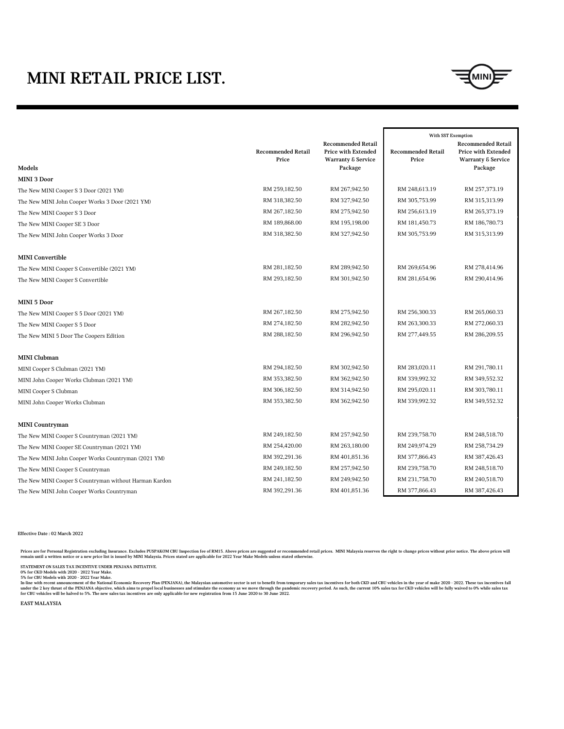|                                                        |                                    |                                                                                          |                                    | With SST Exemption                                                                       |
|--------------------------------------------------------|------------------------------------|------------------------------------------------------------------------------------------|------------------------------------|------------------------------------------------------------------------------------------|
|                                                        | <b>Recommended Retail</b><br>Price | <b>Recommended Retail</b><br><b>Price with Extended</b><br><b>Warranty &amp; Service</b> | <b>Recommended Retail</b><br>Price | <b>Recommended Retail</b><br><b>Price with Extended</b><br><b>Warranty &amp; Service</b> |
| <b>Models</b>                                          |                                    | Package                                                                                  |                                    | Package                                                                                  |
| <b>MINI 3 Door</b>                                     |                                    |                                                                                          |                                    |                                                                                          |
| The New MINI Cooper S 3 Door (2021 YM)                 | RM 259,182.50                      | RM 267,942.50                                                                            | RM 248,613.19                      | RM 257,373.19                                                                            |
| The New MINI John Cooper Works 3 Door (2021 YM)        | RM 318,382.50                      | RM 327,942.50                                                                            | RM 305,753.99                      | RM 315,313.99                                                                            |
| The New MINI Cooper S 3 Door                           | RM 267,182.50                      | RM 275,942.50                                                                            | RM 256,613.19                      | RM 265,373.19                                                                            |
| The New MINI Cooper SE 3 Door                          | RM 189,868.00                      | RM 195,198.00                                                                            | RM 181,450.73                      | RM 186,780.73                                                                            |
| The New MINI John Cooper Works 3 Door                  | RM 318,382.50                      | RM 327,942.50                                                                            | RM 305,753.99                      | RM 315,313.99                                                                            |
| <b>MINI Convertible</b>                                |                                    |                                                                                          |                                    |                                                                                          |
| The New MINI Cooper S Convertible (2021 YM)            | RM 281,182.50                      | RM 289,942.50                                                                            | RM 269,654.96                      | RM 278,414.96                                                                            |
| The New MINI Cooper S Convertible                      | RM 293,182.50                      | RM 301,942.50                                                                            | RM 281,654.96                      | RM 290,414.96                                                                            |
| <b>MINI 5 Door</b>                                     |                                    |                                                                                          |                                    |                                                                                          |
| The New MINI Cooper S 5 Door (2021 YM)                 | RM 267,182.50                      | RM 275,942.50                                                                            | RM 256,300.33                      | RM 265,060.33                                                                            |
| The New MINI Cooper S 5 Door                           | RM 274,182.50                      | RM 282,942.50                                                                            | RM 263,300.33                      | RM 272,060.33                                                                            |
| The New MINI 5 Door The Coopers Edition                | RM 288,182.50                      | RM 296,942.50                                                                            | RM 277,449.55                      | RM 286,209.55                                                                            |
| <b>MINI Clubman</b>                                    |                                    |                                                                                          |                                    |                                                                                          |
| MINI Cooper S Clubman (2021 YM)                        | RM 294,182.50                      | RM 302,942.50                                                                            | RM 283,020.11                      | RM 291,780.11                                                                            |
| MINI John Cooper Works Clubman (2021 YM)               | RM 353,382.50                      | RM 362,942.50                                                                            | RM 339,992.32                      | RM 349,552.32                                                                            |
| MINI Cooper S Clubman                                  | RM 306,182.50                      | RM 314,942.50                                                                            | RM 295,020.11                      | RM 303,780.11                                                                            |
| MINI John Cooper Works Clubman                         | RM 353,382.50                      | RM 362,942.50                                                                            | RM 339,992.32                      | RM 349,552.32                                                                            |
| <b>MINI Countryman</b>                                 |                                    |                                                                                          |                                    |                                                                                          |
| The New MINI Cooper S Countryman (2021 YM)             | RM 249,182.50                      | RM 257,942.50                                                                            | RM 239,758.70                      | RM 248,518.70                                                                            |
| The New MINI Cooper SE Countryman (2021 YM)            | RM 254,420.00                      | RM 263,180.00                                                                            | RM 249,974.29                      | RM 258,734.29                                                                            |
| The New MINI John Cooper Works Countryman (2021 YM)    | RM 392,291.36                      | RM 401,851.36                                                                            | RM 377,866.43                      | RM 387,426.43                                                                            |
| The New MINI Cooper S Countryman                       | RM 249,182.50                      | RM 257,942.50                                                                            | RM 239,758.70                      | RM 248,518.70                                                                            |
| The New MINI Cooper S Countryman without Harman Kardon | RM 241,182.50                      | RM 249,942.50                                                                            | RM 231,758.70                      | RM 240,518.70                                                                            |
| The New MINI John Cooper Works Countryman              | RM 392,291.36                      | RM 401,851.36                                                                            | RM 377,866.43                      | RM 387,426.43                                                                            |

Prices are for Personal Registration excluding Insurance. Excludes PUSPAKOM CBU Inspection fee of RM15. Above prices are suggested or recommended retail prices. MINI Malaysia reserves the right to change prices without pri **remain until a written notice or a new price list is issued by MINI Malaysia. Prices stated are applicable for 2022 Year Make Models unless stated otherwise.** 

In-line with recent announcement of the National Economic Recovery Plan (PENJANA), the Malaysian automotive sector is set to benefit from temporary sales tax incentives for both CKD and CBU vehicles in the year of make 202 under the 2 key thrust of the PENJANA objective, which aims to propel local businesses and stimulate the economy as we move through the pandemic recovery period. As such, the current 10% sales tax for CKD vehicles will be **for CBU vehicles will be halved to 5%. The new sales tax incentives are only applicable for new registration from 15 June 2020 to 30 June 2022.**

**Effective Date : 02 March 2022**

## MINI RETAIL PRICE LIST.



**STATEMENT ON SALES TAX INCENTIVE UNDER PENJANA INITIATIVE.**

**0% for CKD Models with 2020 - 2022 Year Make.**

**5% for CBU Models with 2020 - 2022 Year Make.**

**EAST MALAYSIA**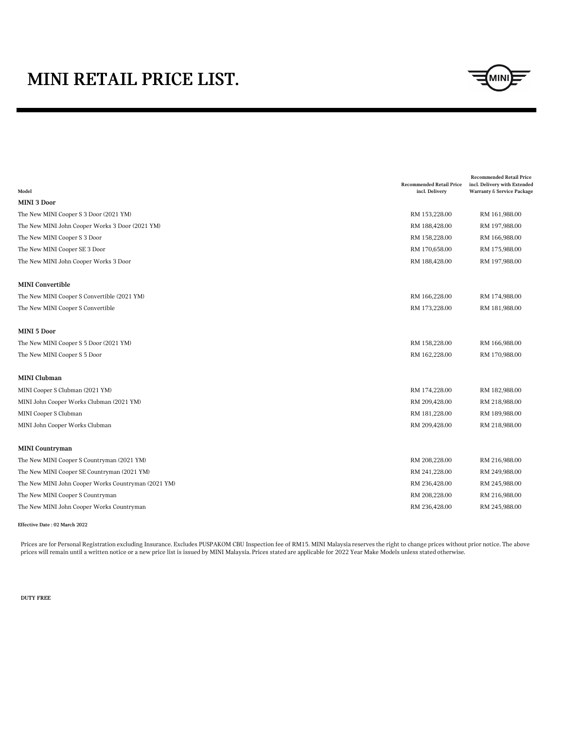|                                                     | <b>Recommended Retail Price</b> | <b>Recommended Retail Price</b><br>incl. Delivery with Extended |
|-----------------------------------------------------|---------------------------------|-----------------------------------------------------------------|
| Model                                               | incl. Delivery                  | <b>Warranty &amp; Service Package</b>                           |
| <b>MINI 3 Door</b>                                  |                                 |                                                                 |
| The New MINI Cooper S 3 Door (2021 YM)              | RM 153,228.00                   | RM 161,988.00                                                   |
| The New MINI John Cooper Works 3 Door (2021 YM)     | RM 188,428.00                   | RM 197,988.00                                                   |
| The New MINI Cooper S 3 Door                        | RM 158,228.00                   | RM 166,988.00                                                   |
| The New MINI Cooper SE 3 Door                       | RM 170,658.00                   | RM 175,988.00                                                   |
| The New MINI John Cooper Works 3 Door               | RM 188,428.00                   | RM 197,988.00                                                   |
| <b>MINI Convertible</b>                             |                                 |                                                                 |
| The New MINI Cooper S Convertible (2021 YM)         | RM 166,228.00                   | RM 174,988.00                                                   |
| The New MINI Cooper S Convertible                   | RM 173,228.00                   | RM 181,988.00                                                   |
| <b>MINI 5 Door</b>                                  |                                 |                                                                 |
| The New MINI Cooper S 5 Door (2021 YM)              | RM 158,228.00                   | RM 166,988.00                                                   |
| The New MINI Cooper S 5 Door                        | RM 162,228.00                   | RM 170,988.00                                                   |
| <b>MINI Clubman</b>                                 |                                 |                                                                 |
| MINI Cooper S Clubman (2021 YM)                     | RM 174,228.00                   | RM 182,988.00                                                   |
| MINI John Cooper Works Clubman (2021 YM)            | RM 209,428.00                   | RM 218,988.00                                                   |
| MINI Cooper S Clubman                               | RM 181,228.00                   | RM 189,988.00                                                   |
| MINI John Cooper Works Clubman                      | RM 209,428.00                   | RM 218,988.00                                                   |
| <b>MINI Countryman</b>                              |                                 |                                                                 |
| The New MINI Cooper S Countryman (2021 YM)          | RM 208,228.00                   | RM 216,988.00                                                   |
| The New MINI Cooper SE Countryman (2021 YM)         | RM 241,228.00                   | RM 249,988.00                                                   |
| The New MINI John Cooper Works Countryman (2021 YM) | RM 236,428.00                   | RM 245,988.00                                                   |
| The New MINI Cooper S Countryman                    | RM 208,228.00                   | RM 216,988.00                                                   |
| The New MINI John Cooper Works Countryman           | RM 236,428.00                   | RM 245,988.00                                                   |

**Effective Date : 02 March 2022**

## MINI RETAIL PRICE LIST.



Prices are for Personal Registration excluding Insurance. Excludes PUSPAKOM CBU Inspection fee of RM15. MINI Malaysia reserves the right to change prices without prior notice. The above prices will remain until a written notice or a new price list is issued by MINI Malaysia. Prices stated are applicable for 2022 Year Make Models unless stated otherwise.

**DUTY FREE**